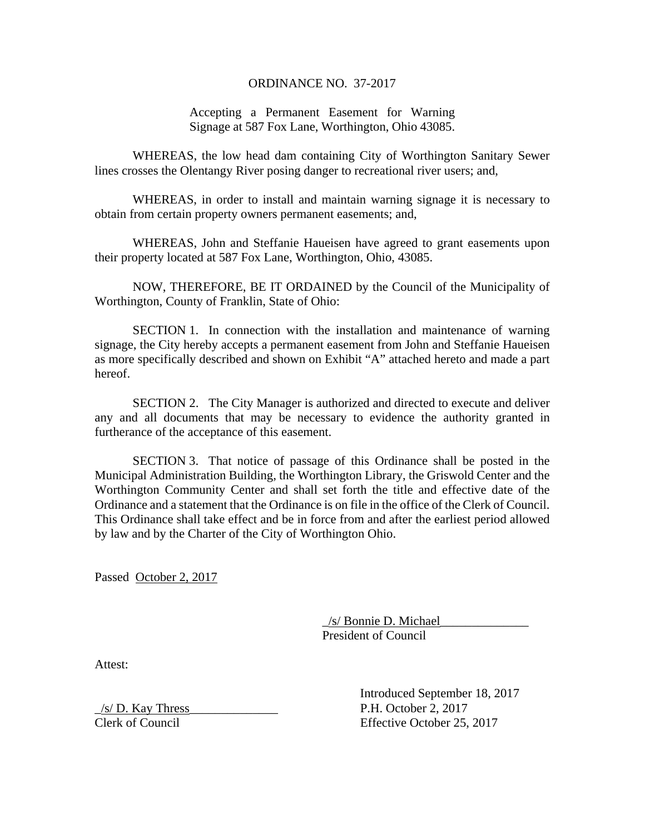## ORDINANCE NO. 37-2017

## Accepting a Permanent Easement for Warning Signage at 587 Fox Lane, Worthington, Ohio 43085.

WHEREAS, the low head dam containing City of Worthington Sanitary Sewer lines crosses the Olentangy River posing danger to recreational river users; and,

WHEREAS, in order to install and maintain warning signage it is necessary to obtain from certain property owners permanent easements; and,

WHEREAS, John and Steffanie Haueisen have agreed to grant easements upon their property located at 587 Fox Lane, Worthington, Ohio, 43085.

NOW, THEREFORE, BE IT ORDAINED by the Council of the Municipality of Worthington, County of Franklin, State of Ohio:

SECTION 1. In connection with the installation and maintenance of warning signage, the City hereby accepts a permanent easement from John and Steffanie Haueisen as more specifically described and shown on Exhibit "A" attached hereto and made a part hereof.

SECTION 2. The City Manager is authorized and directed to execute and deliver any and all documents that may be necessary to evidence the authority granted in furtherance of the acceptance of this easement.

SECTION 3. That notice of passage of this Ordinance shall be posted in the Municipal Administration Building, the Worthington Library, the Griswold Center and the Worthington Community Center and shall set forth the title and effective date of the Ordinance and a statement that the Ordinance is on file in the office of the Clerk of Council. This Ordinance shall take effect and be in force from and after the earliest period allowed by law and by the Charter of the City of Worthington Ohio.

Passed October 2, 2017

 \_/s/ Bonnie D. Michael\_\_\_\_\_\_\_\_\_\_\_\_\_\_ President of Council

Attest:

 Introduced September 18, 2017  $/s/D$ . Kay Thress P.H. October 2, 2017 Clerk of Council Effective October 25, 2017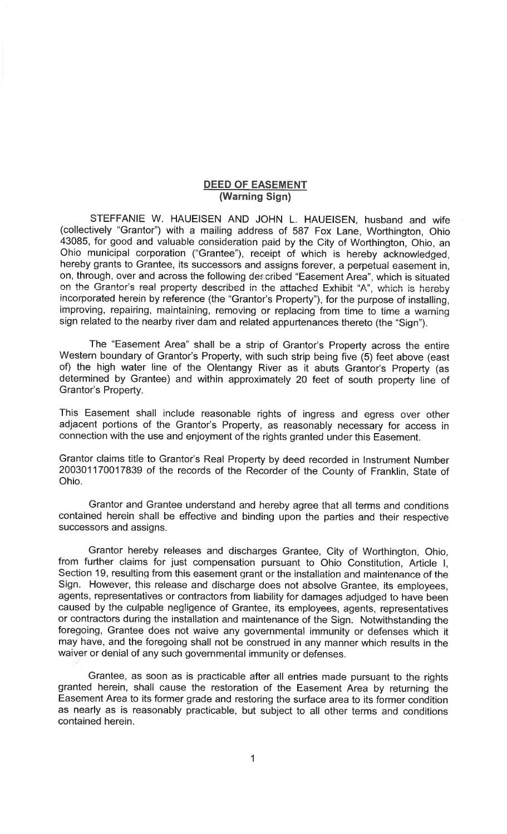## **DEED OF EASEMENT** (Warning Sign)

STEFFANIE W. HAUEISEN AND JOHN L. HAUEISEN, husband and wife (collectively "Grantor") with a mailing address of 587 Fox Lane, Worthington, Ohio 43085, for good and valuable consideration paid by the City of Worthington, Ohio, an Ohio municipal corporation ("Grantee"), receipt of which is hereby acknowledged, hereby grants to Grantee, its successors and assigns forever, a perpetual easement in, on, through, over and across the following described "Easement Area", which is situated on the Grantor's real property described in the attached Exhibit "A", which is hereby incorporated herein by reference (the "Grantor's Property"), for the purpose of installing, improving, repairing, maintaining, removing or replacing from time to time a warning sign related to the nearby river dam and related appurtenances thereto (the "Sign").

The "Easement Area" shall be a strip of Grantor's Property across the entire Western boundary of Grantor's Property, with such strip being five (5) feet above (east of) the high water line of the Olentangy River as it abuts Grantor's Property (as determined by Grantee) and within approximately 20 feet of south property line of Grantor's Property.

This Easement shall include reasonable rights of ingress and egress over other adjacent portions of the Grantor's Property, as reasonably necessary for access in connection with the use and enjoyment of the rights granted under this Easement.

Grantor claims title to Grantor's Real Property by deed recorded in Instrument Number 200301170017839 of the records of the Recorder of the County of Franklin, State of Ohio.

Grantor and Grantee understand and hereby agree that all terms and conditions contained herein shall be effective and binding upon the parties and their respective successors and assigns.

Grantor hereby releases and discharges Grantee, City of Worthington, Ohio, from further claims for just compensation pursuant to Ohio Constitution, Article I, Section 19, resulting from this easement grant or the installation and maintenance of the Sign. However, this release and discharge does not absolve Grantee, its employees, agents, representatives or contractors from liability for damages adjudged to have been caused by the culpable negligence of Grantee, its employees, agents, representatives or contractors during the installation and maintenance of the Sign. Notwithstanding the foregoing, Grantee does not waive any governmental immunity or defenses which it may have, and the foregoing shall not be construed in any manner which results in the waiver or denial of any such governmental immunity or defenses.

Grantee, as soon as is practicable after all entries made pursuant to the rights granted herein, shall cause the restoration of the Easement Area by returning the Easement Area to its former grade and restoring the surface area to its former condition as nearly as is reasonably practicable, but subject to all other terms and conditions contained herein.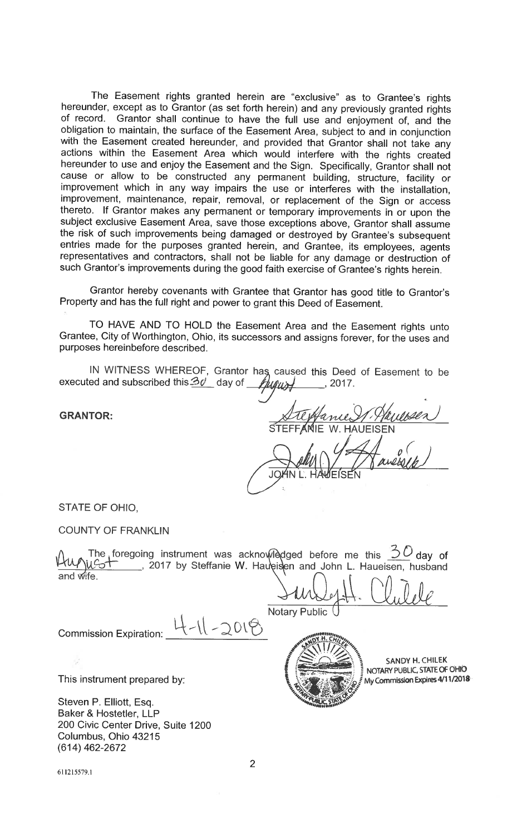The Easement rights granted herein are "exclusive" as to Grantee's rights hereunder, except as to Grantor (as set forth herein) and any previously granted rights of record. Grantor shall continue to have the full use and enjoyment of, and the obligation to maintain, the surface of the Easement Area, subject to and in conjunction with the Easement created hereunder, and provided that Grantor shall not take any actions within the Easement Area which would interfere with the rights created hereunder to use and enjoy the Easement and the Sign. Specifically, Grantor shall not cause or allow to be constructed any permanent building, structure, facility or improvement which in any way impairs the use or interferes with the installation, improvement, maintenance, repair, removal, or replacement of the Sign or access thereto. If Grantor makes any permanent or temporary improvements in or upon the subject exclusive Easement Area, save those exceptions above, Grantor shall assume the risk of such improvements being damaged or destroyed by Grantee's subsequent entries made for the purposes granted herein, and Grantee, its employees, agents representatives and contractors, shall not be liable for any damage or destruction of such Grantor's improvements during the good faith exercise of Grantee's rights herein.

Grantor hereby covenants with Grantee that Grantor has good title to Grantor's Property and has the full right and power to grant this Deed of Easement.

TO HAVE AND TO HOLD the Easement Area and the Easement rights unto Grantee, City of Worthington, Ohio, its successors and assigns forever, for the uses and purposes hereinbefore described.

IN WITNESS WHEREOF, Grantor has caused this Deed of Easement to be executed and subscribed this  $30^\circ$  day of Hugust  $, 2017.$ 

**GRANTOR:** 

STATE OF OHIO,

**COUNTY OF FRANKLIN** 

The foregoing instrument was acknowledged before me this  $\frac{30}{20}$  day of UCot 1. 2017 by Steffanie W. Haueisen and John L. Haueisen, husband and wife.

 $-11 - 2018$ **Commission Expiration:** 

This instrument prepared by:

Steven P. Elliott, Esq. Baker & Hostetler, LLP 200 Civic Center Drive, Suite 1200 Columbus, Ohio 43215  $(614)$  462-2672

**Notary Public** 



SANDY H. CHILEK NOTARY PUBLIC, STATE OF OHIO My Commission Expires 4/11/2018

611215579.1